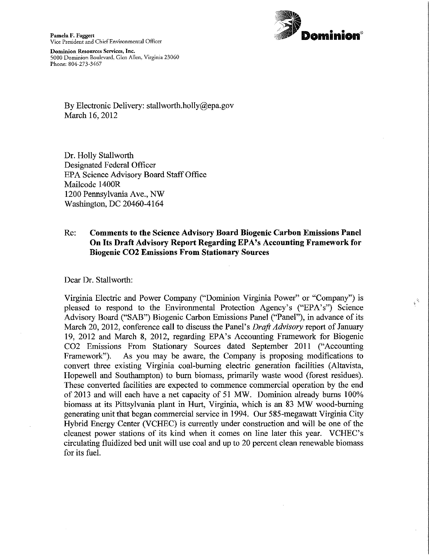

 $\theta_{\frac{1}{2}}$ 

Pamela F. Faggert<br>Vice President and Chief Environmental Officer

Dominion Resources Services, Inc. 5000 Dominion Boulevard, Glen Allen, Virginia 23060 Phone: 804-273-3467

> By Electronic Delivery: stallworth.holly@epa.gov March 16, 2012

Dr. Holly Stallworth Designated Federal Officer EPA Science Advisory Board StaffOffice Mailcode 1400K 1200 Pennsylvania Ave, NW Washington, DC 20460-4164

## Re: Comments to the Science Advisory Board Biogenic Carbon Emissions Panel On Its Draft Advisory Report Regarding EPA's Accounting Framework for Biogenic C02 Emissions From Stationary Sources

Dear Dr. Stallworth:

Virginia Electric and Power Company ("Dominion Virginia Power" or "Company") is pleased to respond to the Environmental Protection Agency's ("EPA'S") Science Advisory Board ("SAB") Biogenic Carbon Emissions Panel ("Panel"), in advance of its March 20, 2012, conference call to discuss the Panel's Drafi Advisory report of January 19, 2012 and March 8, 2012, regarding EPA's Accounting Framework for Biogenic C02 Emissions From Stationary Sources dated September 2011 ("Accounting Framework"). As you may be aware, the Company is proposing modifications to convert three existing Virginia coal-burning electric generation facilities (Altavista, Hopewell and Southampton) to burn biomass, primarily waste wood (forest residues). These converted facilities are expected to commence commercial operation by the end of 2013 and will each have a net capacity of <sup>51</sup> MW. Dominion already burns 100% biomass at its Pittsylvania plant in Hurt, Virginia, which is an 83 MW wood-burning generating unit that began commercial service in 1994. Our 585~megawatt Virginia City Hybrid Energy Center (VCHEC) is currently under construction and will be one of the cleanest power stations of its kind when it comes on line later this year. VCHEC's circulating fluidized bed unit will use coal and up to 20 percent clean renewable biomass for its fuel.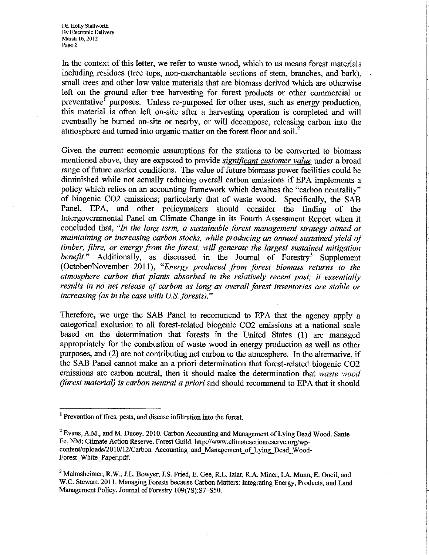In the context of this letter, we refer to waste wood, which to us means forest materials including residues (tree tops, non-merchantable sections of stem, branches, and bark), small trees and other low value materials that are biomass derived which are otherwise left on the ground after tree harvesting for forest products or other commercial or preventative<sup>1</sup> purposes. Unless re-purposed for other uses, such as energy production, this material is often lefi on-site afler a harvesting operation is completed and will eventually be burned on-site or nearby, or will decompose, releasing carbon into the atmosphere and turned into organic matter on the forest floor and soil.<sup>2</sup>

Given the current economic assumptions for the stations to be converted to biomass mentioned above, they are expected to provide *significant customer value* under a broad range of future market conditions. The value of future biomass power facilities could be diminished while not actually reducing overall carbon emissions if EPA implements <sup>a</sup> policy which relies on an accounting framework which devalues the "carbon neutrality" of biogenic CO2 emissions; particularly that of waste wood. Specifically, the SAB Panel, EPA, and other policymakers should consider the finding of the Intergovernmental Panel on Climate Change in its Fourth Assessment Report when it concluded that, "In the long term, a sustainable forest management strategy aimed at maintaining or increasing carbon stocks, while producing an annual sustained yield of timber, fibre, or energy from the forest, will generate the largest sustained mitigation benefit." Additionally, as discussed in the Journal of Forestry<sup>3</sup> Supplement (October/November 2011), "Energy produced from forest biomass returns to the atmosphere carbon that plants absorbed in the relatively recent past; it essentially results in no net release of carbon as long as overall forest inventories are stable or increasing (as in the case with  $US$ . forests)."

Therefore, we urge the SAB Panel to recommend to EPA that the agency apply a categorical exclusion to all forest-related biogenic C02 emissions at a national scale based on the determination that forests in the United States (1) are managed appropriately for the combustion of waste wood in energy production as well as other purposes, and (2) are not contributing net carbon to the atmosphere. In the alternative, if the SAB Panel cannot make an a priori determination that forest-related biogenic C02 emissions are carbon neutral, then it should make the determination that waste wood (forest material) is carbon neutral a priori and should recommend to EPA that it should

<sup>&</sup>lt;sup>1</sup> Prevention of fires, pests, and disease infiltration into the forest.

 $2$  Evans, A.M., and M. Ducey. 2010. Carbon Accounting and Management of Lying Dead Wood. Sante Fe, NM: Climate Action Reserve. Forest Guild. http://www.climateactionreserve.org/Wpcontent/uploads/2010/12/Carbon\_Accounting and Management of Lying Dead\_Wood-Forest\_White\_Paper.pdf.

<sup>&</sup>lt;sup>3</sup> Malmsheimer, R.W., J.L. Bowyer, J.S. Fried, E. Gee, R.L. Izlar, R.A. Miner, I.A. Munn, E. Oneil, and WC. Stewart. 2011. Managing Forests because Carbon Matters: Integrating Energy, Products, and Land Management Policy. Journal of Forestry 109(7S):S7-S50.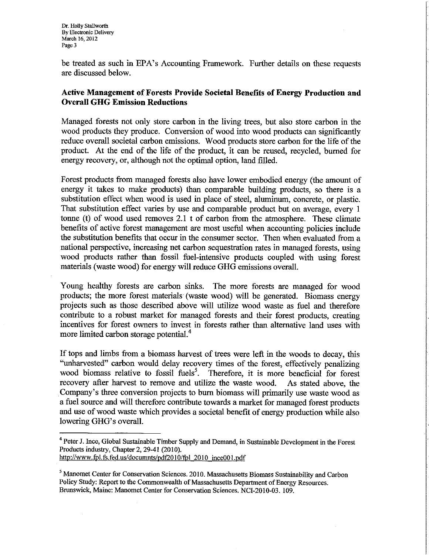be treated as such in EPA's Accounting Framework. Further details on these requests are discussed below.

## Active Management of Forests Provide Societal Benefits of Energy Production and Overall GHG Emission Reductions

Managed forests not only store carbon in the living trees, but also store carbon in the wood products they produce. Conversion of wood into wood products can significantly reduce overall societal carbon emissions. Wood products store carbon for the life of the product. At the end of the life of the product, it can be reused, recycled, burned for energy recovery, or, although not the optimal option, land filled.

Forest products from managed forests also have lower embodied energy (the amount of energy it takes to make products) than comparable building products, so there is a substitution effect when wood is used in place of steel, aluminum, concrete, or plastic. That substitution effect varies by use and comparable product but on average, every <sup>1</sup> tonne (t) of wood used removes 2.1 t of carbon from the atmosphere. These climate benefits of active forest management are most useful when accounting policies include the substitution benefits that occur in the consumer sector. Then when evaluated from a national perspective, increasing net carbon sequestration rates in managed forests, using wood products rather than fossil fuel—intensive products coupled with using forest materials (waste wood) for energy will reduce GHG emissions overall.

Young healthy forests are carbon sinks. The more forests are managed for wood products; the more forest materials (waste wood) will be generated. Biomass energy projects such as those described above will utilize wood waste as fuel and therefore contribute to a robust market for managed forests and their forest products, creating incentives for forest owners to invest in forests rather than alternative land uses with more limited carbon storage potential.<sup>4</sup>

If tops and limbs from a biomass harvest of trees were left in the woods to decay, this "unharvested" carbon would delay recovery times of the forest, effectively penalizing wood biomass relative to fossil fuels<sup>5</sup>. Therefore, it is more beneficial for forest recovery after harvest to remove and utilize the waste wood. As stated above, the Company's three conversion projects to burn biomass will primarily use waste wood as <sup>a</sup> fuel source and will therefore contribute towards a market for managed forest products and use of wood waste which provides a societal benefit of energy production while also lowering GHG's overall.

<sup>&</sup>lt;sup>4</sup> Peter J. Ince, Global Sustainable Timber Supply and Demand, in Sustainable Development in the Forest Products industry, Chapter 2, 29-41 (2010). http://www.fpl.fs.fed.us/documnts/pdf2010/fpl 2010 ince001.pdf

<sup>&</sup>lt;sup>5</sup> Manomet Center for Conservation Sciences. 2010. Massachusetts Biomass Sustainability and Carbon Policy Study: Report to the Commonwealth of Massachusetts Department of Energy Resources. Brunswick, Maine: Manomet Center for Conservation Sciences. NCI-2010-03. 109.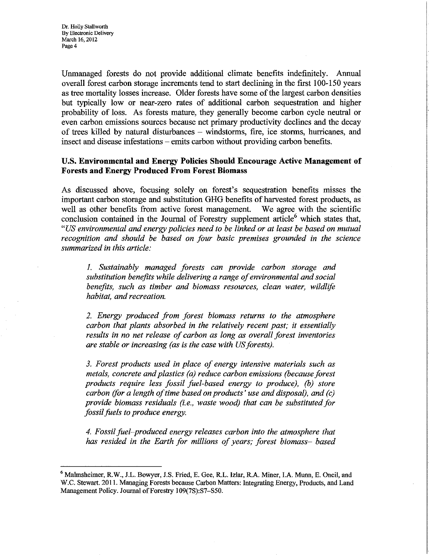Unmanaged forests do not provide additional climate benefits indefinitely. Annual overall forest carbon storage increments tend to start declining in the first 100-150 years as tree mortality losses increase. Older forests have some of the largest carbon densities but typically low or near-zero rates of additional carbon sequestration and higher probability of loss. As forests mature, they generally become carbon cycle neutral or even carbon emissions sources because net primary productivity declines and the decay of trees killed by natural disturbances — windstorms, fire, ice storms, hurricanes, and insect and disease infestations — emits carbon without providing carbon benefits.

## US. Environmental and Energy Policies Should Encourage Active Management of Forests and Energy Produced From Forest Biomass

As discussed above, focusing solely on forest's sequestration benefits misses the important carbon storage and substitution GHG benefits of harvested forest products, as well as other benefits from active forest management. We agree with the scientific conclusion contained in the Journal of Forestry supplement article $<sup>6</sup>$  which states that,</sup> "US environmental and energy policies need to be linked or at least be based on mutual recognition and should be based on four basic premises grounded in the science summarized in this article:

1. Sustainably managed forests can provide carbon storage and substitution benefits while delivering a range of environmental and social benefits, such as timber and biomass resources, clean water, wildlife habitat, and recreation.

2. Energy produced from forest biomass returns to the atmosphere carbon that plants absorbed in the relatively recent past; it essentially results in no net release of carbon as long as overall forest inventories are stable or increasing (as is the case with US forests).

3. Forest products used in place of energy intensive materials such as metals, concrete and plastics (a) reduce carbon emissions (because forest products require less fossil fuel—based energy to produce), (b) store  $\alpha$  carbon (for a length of time based on products' use and disposal), and (c) provide biomass residuals (i.e., waste wood) that can be substituted for fossil fuels to produce energy.

4. Fossil fuel–produced energy releases carbon into the atmosphere that has resided in the Earth for millions of years; forest biomass- based

<sup>&</sup>lt;sup>6</sup> Malmsheimer, R.W., J.L. Bowyer, J.S. Fried, E. Gee, R.L. Izlar, R.A. Miner, I.A. Munn, E. Oneil, and W.C. Stewart. 2011. Managing Forests because Carbon Matters: Integrating Energy, Products, and Land Management Policy. Journal of Forestry 109(7S):S7-S50.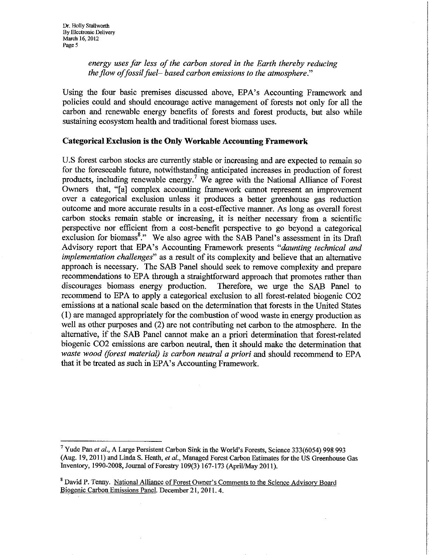energy uses far less of the carbon stored in the Earth thereby reducing the flow of fossil fuel-based carbon emissions to the atmosphere."

Using the four basic premises discussed above, EPA's Accounting Framework and policies could and should encourage active management of forests not only for all the carbon and renewable energy benefits of forests and forest products, but also while sustaining ecosystem health and traditional forest biomass uses.

## Categorical Exclusion is the Only Workable Accounting Framework

U.S forest carbon stocks are currently stable or increasing and are expected to remain so for the foreseeable future, notwithstanding anticipated increases in production of forest products, including renewable energy.7 We agree with the National Alliance of Forest Owners that, "[a] complex accounting framework cannot represent an improvement over a categorical exclusion unless it produces a better greenhouse gas reduction outcome and more accurate results in a cost-effective manner. As long as overall forest carbon stocks remain stable or increasing, it is neither necessary from a scientific perspective nor efficient from a cost-benefit perspective to go beyond a categorical exclusion for biomass<sup>8</sup>." We also agree with the SAB Panel's assessment in its Draft Advisory report that EPA's Accounting Framework presents "daunting technical and implementation challenges" as a result of its complexity and believe that an alternative approach is necessary. The SAB Panel should seek to remove complexity and prepare recommendations to EPA through a straightforward approach that promotes rather than discourages biomass energy production. Therefore, we urge the SAB Panel to recommend to EPA to apply a categorical exclusion to all forest-related biogenic C02 emissions at a national scale based on the determination that forests in the United States (1) are managed appropriately for the combustion ofwood waste in energy production as well as other purposes and (2) are not contributing net carbon to the atmosphere. In the alternative, if the SAB Panel cannot make an a priori determination that forest-related biogenic C02 emissions are carbon neutral, then it should make the determination that waste wood (forest material) is carbon neutral a priori and should recommend to EPA that it be treated as such in EPA's Accounting Framework.

<sup>7</sup> Yude Pan et al., A Large Persistent Carbon Sink in the World's Forests, Science 333(6054) <sup>998</sup> <sup>993</sup> (Aug. 19, 2011) and Linda S. Heath, et al., Managed Forest Carbon Estimates for the US Greenhouse Gas Inventory, 1990-2008, Journal ofForestry 109(3) 167~ <sup>173</sup> (April/May 2011).

<sup>&</sup>lt;sup>8</sup> David P. Tenny. National Alliance of Forest Owner's Comments to the Science Advisory Board Biogenic Carbon Emissions Panel. December 21, 2011. 4.